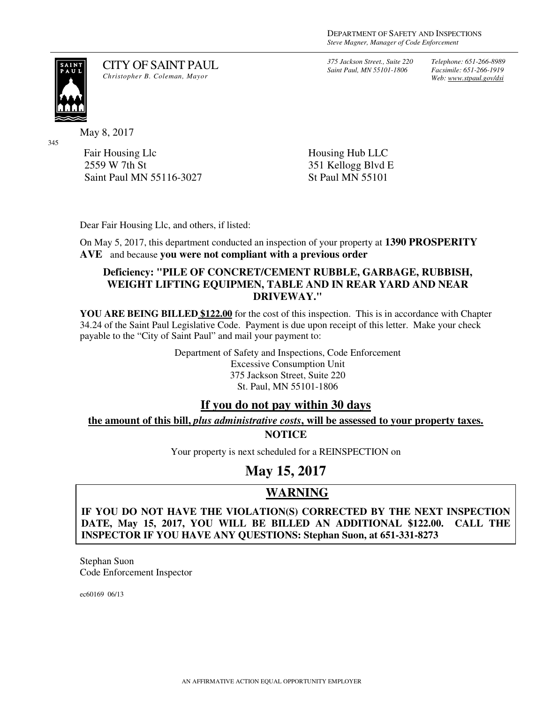*375 Jackson Street., Suite 220 Saint Paul, MN 55101-1806*

*Telephone: 651-266-8989 Facsimile: 651-266-1919 Web: www.stpaul.gov/dsi*

SAIN<br>^ A U

345

May 8, 2017

Fair Housing Llc 2559 W 7th St Saint Paul MN 55116-3027

Housing Hub LLC 351 Kellogg Blvd E St Paul MN 55101

Dear Fair Housing Llc, and others, if listed:

CITY OF SAINT PAUL *Christopher B. Coleman, Mayor* 

On May 5, 2017, this department conducted an inspection of your property at **1390 PROSPERITY AVE** and because **you were not compliant with a previous order**

#### **Deficiency: "PILE OF CONCRET/CEMENT RUBBLE, GARBAGE, RUBBISH, WEIGHT LIFTING EQUIPMEN, TABLE AND IN REAR YARD AND NEAR DRIVEWAY."**

**YOU ARE BEING BILLED \$122.00** for the cost of this inspection. This is in accordance with Chapter 34.24 of the Saint Paul Legislative Code. Payment is due upon receipt of this letter. Make your check payable to the "City of Saint Paul" and mail your payment to:

> Department of Safety and Inspections, Code Enforcement Excessive Consumption Unit 375 Jackson Street, Suite 220 St. Paul, MN 55101-1806

### **If you do not pay within 30 days**

**the amount of this bill,** *plus administrative costs***, will be assessed to your property taxes.**

**NOTICE** 

Your property is next scheduled for a REINSPECTION on

# **May 15, 2017**

## **WARNING**

**IF YOU DO NOT HAVE THE VIOLATION(S) CORRECTED BY THE NEXT INSPECTION DATE, May 15, 2017, YOU WILL BE BILLED AN ADDITIONAL \$122.00. CALL THE INSPECTOR IF YOU HAVE ANY QUESTIONS: Stephan Suon, at 651-331-8273**

Stephan Suon Code Enforcement Inspector

ec60169 06/13